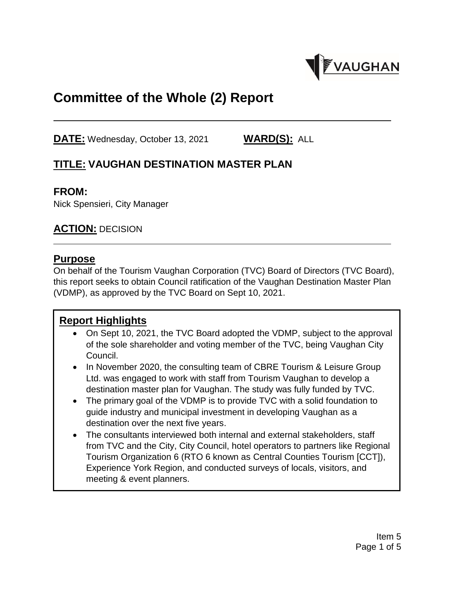

# **Committee of the Whole (2) Report**

**DATE:** Wednesday, October 13, 2021 **WARD(S):** ALL

### **TITLE: VAUGHAN DESTINATION MASTER PLAN**

#### **FROM:**

Nick Spensieri, City Manager

#### **ACTION:** DECISION

#### **Purpose**

On behalf of the Tourism Vaughan Corporation (TVC) Board of Directors (TVC Board), this report seeks to obtain Council ratification of the Vaughan Destination Master Plan (VDMP), as approved by the TVC Board on Sept 10, 2021.

### **Report Highlights**

- On Sept 10, 2021, the TVC Board adopted the VDMP, subject to the approval of the sole shareholder and voting member of the TVC, being Vaughan City Council.
- In November 2020, the consulting team of CBRE Tourism & Leisure Group Ltd. was engaged to work with staff from Tourism Vaughan to develop a destination master plan for Vaughan. The study was fully funded by TVC.
- The primary goal of the VDMP is to provide TVC with a solid foundation to guide industry and municipal investment in developing Vaughan as a destination over the next five years.
- The consultants interviewed both internal and external stakeholders, staff from TVC and the City, City Council, hotel operators to partners like Regional Tourism Organization 6 (RTO 6 known as Central Counties Tourism [CCT]), Experience York Region, and conducted surveys of locals, visitors, and meeting & event planners.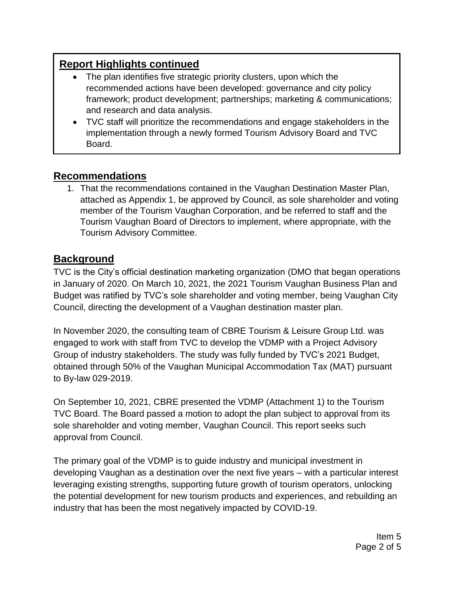# **Report Highlights continued**

- The plan identifies five strategic priority clusters, upon which the recommended actions have been developed: governance and city policy framework; product development; partnerships; marketing & communications; and research and data analysis.
- TVC staff will prioritize the recommendations and engage stakeholders in the implementation through a newly formed Tourism Advisory Board and TVC Board.

#### **Recommendations**

1. That the recommendations contained in the Vaughan Destination Master Plan, attached as Appendix 1, be approved by Council, as sole shareholder and voting member of the Tourism Vaughan Corporation, and be referred to staff and the Tourism Vaughan Board of Directors to implement, where appropriate, with the Tourism Advisory Committee.

### **Background**

TVC is the City's official destination marketing organization (DMO that began operations in January of 2020. On March 10, 2021, the 2021 Tourism Vaughan Business Plan and Budget was ratified by TVC's sole shareholder and voting member, being Vaughan City Council, directing the development of a Vaughan destination master plan.

In November 2020, the consulting team of CBRE Tourism & Leisure Group Ltd. was engaged to work with staff from TVC to develop the VDMP with a Project Advisory Group of industry stakeholders. The study was fully funded by TVC's 2021 Budget, obtained through 50% of the Vaughan Municipal Accommodation Tax (MAT) pursuant to By-law 029-2019.

On September 10, 2021, CBRE presented the VDMP (Attachment 1) to the Tourism TVC Board. The Board passed a motion to adopt the plan subject to approval from its sole shareholder and voting member, Vaughan Council. This report seeks such approval from Council.

The primary goal of the VDMP is to guide industry and municipal investment in developing Vaughan as a destination over the next five years – with a particular interest leveraging existing strengths, supporting future growth of tourism operators, unlocking the potential development for new tourism products and experiences, and rebuilding an industry that has been the most negatively impacted by COVID-19.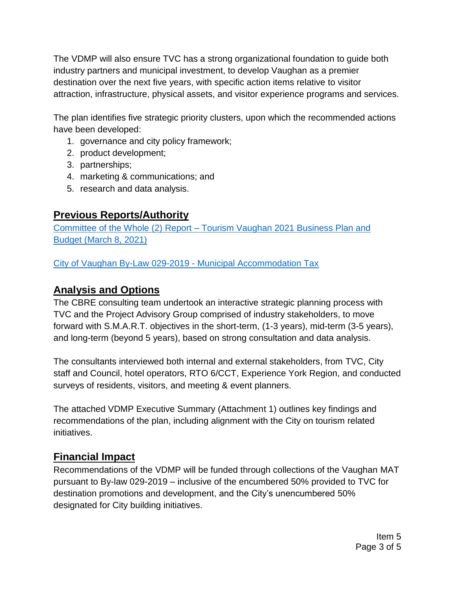The VDMP will also ensure TVC has a strong organizational foundation to guide both industry partners and municipal investment, to develop Vaughan as a premier destination over the next five years, with specific action items relative to visitor attraction, infrastructure, physical assets, and visitor experience programs and services.

The plan identifies five strategic priority clusters, upon which the recommended actions have been developed:

- 1. governance and city policy framework;
- 2. product development;
- 3. partnerships;
- 4. marketing & communications; and
- 5. research and data analysis.

# **Previous Reports/Authority**

Committee of the Whole (2) Report – [Tourism Vaughan 2021 Business Plan and](https://pub-vaughan.escribemeetings.com/filestream.ashx?DocumentId=63364)  [Budget \(March 8, 2021\)](https://pub-vaughan.escribemeetings.com/filestream.ashx?DocumentId=63364)

[City of Vaughan By-Law 029-2019 -](https://www.vaughan.ca/cityhall/by_laws/Bylaws/029-2019.pdf) Municipal Accommodation Tax

# **Analysis and Options**

The CBRE consulting team undertook an interactive strategic planning process with TVC and the Project Advisory Group comprised of industry stakeholders, to move forward with S.M.A.R.T. objectives in the short-term, (1-3 years), mid-term (3-5 years), and long-term (beyond 5 years), based on strong consultation and data analysis.

The consultants interviewed both internal and external stakeholders, from TVC, City staff and Council, hotel operators, RTO 6/CCT, Experience York Region, and conducted surveys of residents, visitors, and meeting & event planners.

The attached VDMP Executive Summary (Attachment 1) outlines key findings and recommendations of the plan, including alignment with the City on tourism related initiatives.

# **Financial Impact**

Recommendations of the VDMP will be funded through collections of the Vaughan MAT pursuant to By-law 029-2019 – inclusive of the encumbered 50% provided to TVC for destination promotions and development, and the City's unencumbered 50% designated for City building initiatives.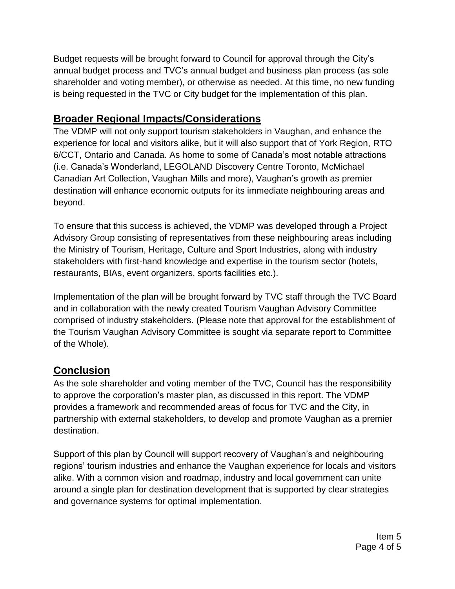Budget requests will be brought forward to Council for approval through the City's annual budget process and TVC's annual budget and business plan process (as sole shareholder and voting member), or otherwise as needed. At this time, no new funding is being requested in the TVC or City budget for the implementation of this plan.

### **Broader Regional Impacts/Considerations**

The VDMP will not only support tourism stakeholders in Vaughan, and enhance the experience for local and visitors alike, but it will also support that of York Region, RTO 6/CCT, Ontario and Canada. As home to some of Canada's most notable attractions (i.e. Canada's Wonderland, LEGOLAND Discovery Centre Toronto, McMichael Canadian Art Collection, Vaughan Mills and more), Vaughan's growth as premier destination will enhance economic outputs for its immediate neighbouring areas and beyond.

To ensure that this success is achieved, the VDMP was developed through a Project Advisory Group consisting of representatives from these neighbouring areas including the Ministry of Tourism, Heritage, Culture and Sport Industries, along with industry stakeholders with first-hand knowledge and expertise in the tourism sector (hotels, restaurants, BIAs, event organizers, sports facilities etc.).

Implementation of the plan will be brought forward by TVC staff through the TVC Board and in collaboration with the newly created Tourism Vaughan Advisory Committee comprised of industry stakeholders. (Please note that approval for the establishment of the Tourism Vaughan Advisory Committee is sought via separate report to Committee of the Whole).

# **Conclusion**

As the sole shareholder and voting member of the TVC, Council has the responsibility to approve the corporation's master plan, as discussed in this report. The VDMP provides a framework and recommended areas of focus for TVC and the City, in partnership with external stakeholders, to develop and promote Vaughan as a premier destination.

Support of this plan by Council will support recovery of Vaughan's and neighbouring regions' tourism industries and enhance the Vaughan experience for locals and visitors alike. With a common vision and roadmap, industry and local government can unite around a single plan for destination development that is supported by clear strategies and governance systems for optimal implementation.